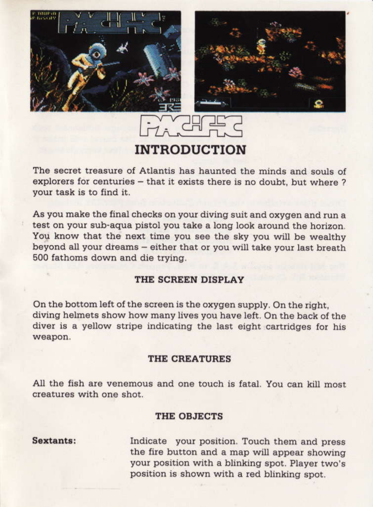





The secret treasure of Atlantis has haunted the minds and souls of explorers for centuries - that it exists there is no doubt, but where ? your task is to find it.

As you make the final checks on your diving suit and oxygen and run a test on your sub-aqua pistol you take a long look around the horizon. You know that the next time you see the sky you will be wealthy beyond all your dreams - either that or you will take your last breath 500 fathoms down and die trying.

## THE SCREEN DISPLAY

On the bottom left of the screen is the oxygen supply. On the right, diving helmets show how many lives you have left. On the back of the diver is a yellow stripe indicating the last eight cartridges for his weapon.

## THE CREATURES

All the fish are venemous and one touch is fatal. You can kill most creatures with one shot

## THE OBJECTS

Sextants:

Indicate your position. Touch them and press the fire button and a map will appear showing your position with a blinking spot. Player two's position is shown with a red blinking spot.